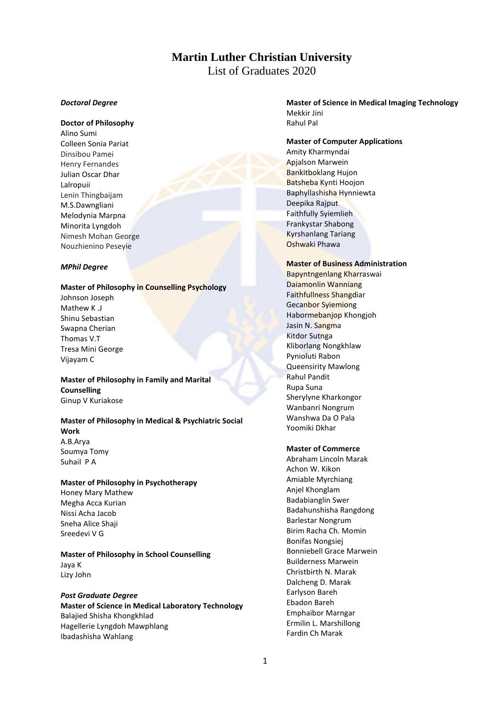# **Martin Luther Christian University**

List of Graduates 2020

#### *Doctoral Degree*

# **Doctor of Philosophy**

Alino Sumi Colleen Sonia Pariat Dinsibou Pamei Henry Fernandes Julian Oscar Dhar Lalropuii Lenin Thingbaijam M.S.Dawngliani Melodynia Marpna Minorita Lyngdoh Nimesh Mohan George Nouzhienino Peseyie

# *MPhil Degree*

### **Master of Philosophy in Counselling Psychology**

Johnson Joseph Mathew K .J Shinu Sebastian Swapna Cherian Thomas V.T Tresa Mini George Vijayam C

# **Master of Philosophy in Family and Marital Counselling** Ginup V Kuriakose

# **Master of Philosophy in Medical & Psychiatric Social Work**  A.B.Arya Soumya Tomy

Suhail P A **Master of Philosophy in Psychotherapy** 

# Honey Mary Mathew Megha Acca Kurian Nissi Acha Jacob Sneha Alice Shaji Sreedevi V G

**Master of Philosophy in School Counselling**  Jaya K Lizy John

# *Post Graduate Degree* **Master of Science in Medical Laboratory Technology** Balajied Shisha Khongkhlad Hagellerie Lyngdoh Mawphlang Ibadashisha Wahlang

**Master of Science in Medical Imaging Technology** Mekkir Jini Rahul Pal

# **Master of Computer Applications** Amity Kharmyndai Apjalson Marwein Bankitboklang Hujon Batsheba Kynti Hoojon Baphyllashisha Hynniewta Deepika Rajput Faithfully Syiemlieh Frankystar Shabong Kyrshanlang Tariang Oshwaki Phawa

# **Master of Business Administration**

Bapyntngenlang Kharraswai Daiamonlin Wanniang Faithfullness Shangdiar Gecanbor Syiemiong Habormebanjop Khongjoh Jasin N. Sangma Kitdor Sutnga Kliborlang Nongkhlaw Pynioluti Rabon Queensirity Mawlong Rahul Pandit Rupa Suna Sherylyne Kharkongor Wanbanri Nongrum Wanshwa Da O Pala Yoomiki Dkhar

# **Master of Commerce**

Abraham Lincoln Marak Achon W. Kikon Amiable Myrchiang Anjel Khonglam Badabianglin Swer Badahunshisha Rangdong Barlestar Nongrum Birim Racha Ch. Momin Bonifas Nongsiej Bonniebell Grace Marwein Builderness Marwein Christbirth N. Marak Dalcheng D. Marak Earlyson Bareh Ebadon Bareh Emphaibor Marngar Ermilin L. Marshillong Fardin Ch Marak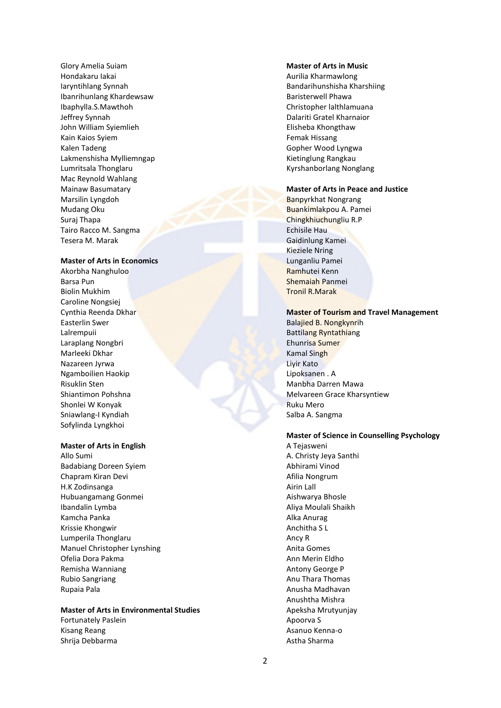Glory Amelia Suiam Hondakaru Iakai Iaryntihlang Synnah Ibanrihunlang Khardewsaw Ibaphylla.S.Mawthoh Jeffrey Synnah John William Syiemlieh Kain Kaios Syiem Kalen Tadeng Lakmenshisha Mylliemngap Lumritsala Thonglaru Mac Reynold Wahlang Mainaw Basumatary Marsilin Lyngdoh Mudang Oku Suraj Thapa Tairo Racco M. Sangma Tesera M. Marak

#### **Master of Arts in Economics**

Akorbha Nanghuloo Barsa Pun Biolin Mukhim Caroline Nongsiej Cynthia Reenda Dkhar Easterlin Swer Lalrempuii Laraplang Nongbri Marleeki Dkhar Nazareen Jyrwa Ngamboilien Haokip Risuklin Sten Shiantimon Pohshna Shonlei W Konyak Sniawlang-I Kyndiah Sofylinda Lyngkhoi

#### **Master of Arts in English**

Allo Sumi Badabiang Doreen Syiem Chapram Kiran Devi H.K Zodinsanga Hubuangamang Gonmei Ibandalin Lymba Kamcha Panka Krissie Khongwir Lumperila Thonglaru Manuel Christopher Lynshing Ofelia Dora Pakma Remisha Wanniang Rubio Sangriang Rupaia Pala

#### **Master of Arts in Environmental Studies** Fortunately Paslein

Kisang Reang Shrija Debbarma

#### **Master of Arts in Music**

Aurilia Kharmawlong Bandarihunshisha Kharshiing Baristerwell Phawa Christopher lalthlamuana Dalariti Gratel Kharnaior Elisheba Khongthaw Femak Hissang Gopher Wood Lyngwa Kietinglung Rangkau Kyrshanborlang Nonglang

# **Master of Arts in Peace and Justice**

Banpyrkhat Nongrang Buankimlakpou A. Pamei Chingkhiuchungliu R.P Echisile Hau Gaidinlung Kamei Kieziele Nring Lunganliu Pamei Ramhutei Kenn Shemaiah Panmei Tronil R.Marak

#### **Master of Tourism and Travel Management**

Balajied B. Nongkynrih Battilang Ryntathiang Ehunrisa Sumer Kamal Singh Liyir Kato Lipoksanen . A Manbha Darren Mawa Melvareen Grace Kharsyntiew Ruku Mero Salba A. Sangma

#### **Master of Science in Counselling Psychology**

A Tejasweni A. Christy Jeya Santhi Abhirami Vinod Afilia Nongrum Airin Lall Aishwarya Bhosle Aliya Moulali Shaikh Alka Anurag Anchitha S L Ancy R Anita Gomes Ann Merin Eldho Antony George P Anu Thara Thomas Anusha Madhavan Anushtha Mishra Apeksha Mrutyunjay Apoorva S Asanuo Kenna-o Astha Sharma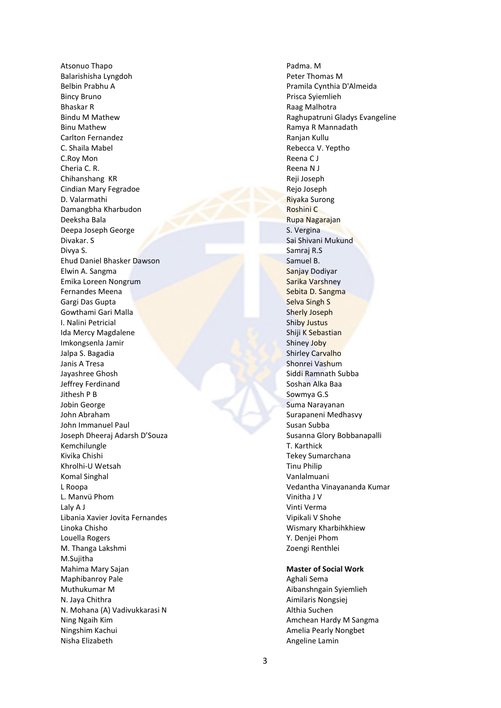Atsonuo Thapo Balarishisha Lyngdoh Belbin Prabhu A Bincy Bruno Bhaskar R Bindu M Mathew Binu Mathew Carlton Fernandez C. Shaila Mabel C.Roy Mon Cheria C. R. Chihanshang KR Cindian Mary Fegradoe D. Valarmathi Damangbha Kharbudon Deeksha Bala Deepa Joseph George Divakar. S Divya S. Ehud Daniel Bhasker Dawson Elwin A. Sangma Emika Loreen Nongrum Fernandes Meena Gargi Das Gupta Gowthami Gari Malla I. Nalini Petricial Ida Mercy Magdalene Imkongsenla Jamir Jalpa S. Bagadia Janis A Tresa Jayashree Ghosh Jeffrey Ferdinand Jithesh P B Jobin George John Abraham John Immanuel Paul Joseph Dheeraj Adarsh D'Souza Kemchilungle Kivika Chishi Khrolhi-U Wetsah Komal Singhal L Roopa L. Manvü Phom Laly A J Libania Xavier Jovita Fernandes Linoka Chisho Louella Rogers M. Thanga Lakshmi M.Sujitha Mahima Mary Sajan Maphibanroy Pale Muthukumar M N. Jaya Chithra N. Mohana (A) Vadivukkarasi N Ning Ngaih Kim Ningshim Kachui Nisha Elizabeth

Padma. M Peter Thomas M Pramila Cynthia D'Almeida Prisca Syiemlieh Raag Malhotra Raghupatruni Gladys Evangeline Ramya R Mannadath Ranjan Kullu Rebecca V. Yeptho Reena C J Reena N J Reji Joseph Rejo Joseph Riyaka Surong Roshini C Rupa Nagarajan S. Vergina Sai Shivani Mukund Samraj R.S Samuel B. Sanjay Dodiyar Sarika Varshney Sebita D. Sangma Selva Singh S Sherly Joseph Shiby Justus Shiji K Sebastian Shiney Joby Shirley Carvalho Shonrei Vashum Siddi Ramnath Subba Soshan Alka Baa Sowmya G.S Suma Narayanan Surapaneni Medhasvy Susan Subba Susanna Glory Bobbanapalli T. Karthick Tekey Sumarchana Tinu Philip Vanlalmuani Vedantha Vinayananda Kumar Vinitha J V Vinti Verma Vipikali V Shohe Wismary Kharbihkhiew Y. Denjei Phom Zoengi Renthlei

### **Master of Social Work**

Aghali Sema Aibanshngain Syiemlieh Aimilaris Nongsiej Althia Suchen Amchean Hardy M Sangma Amelia Pearly Nongbet Angeline Lamin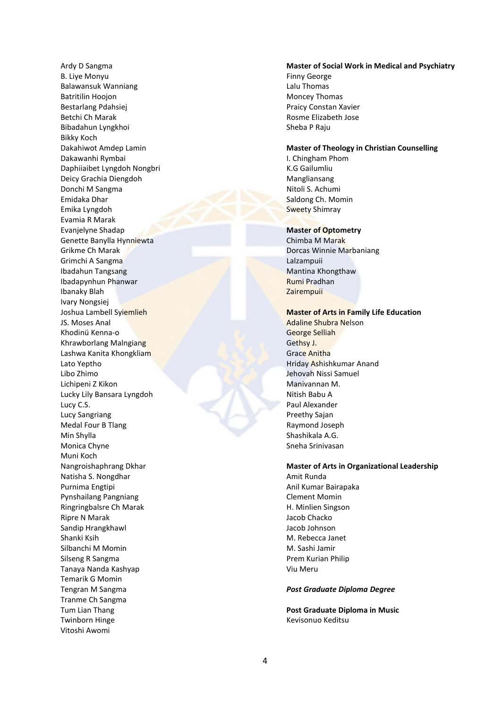Ardy D Sangma B. Liye Monyu Balawansuk Wanniang Batritilin Hoojon Bestarlang Pdahsiej Betchi Ch Marak Bibadahun Lyngkhoi Bikky Koch Dakahiwot Amdep Lamin Dakawanhi Rymbai Daphiiaibet Lyngdoh Nongbri Deicy Grachia Diengdoh Donchi M Sangma Emidaka Dhar Emika Lyngdoh Evamia R Marak Evanjelyne Shadap Genette Banylla Hynniewta Grikme Ch Marak Grimchi A Sangma Ibadahun Tangsang Ibadapynhun Phanwar Ibanaky Blah Ivary Nongsiej Joshua Lambell Syiemlieh JS. Moses Anal Khodinü Kenna-o Khrawborlang Malngiang Lashwa Kanita Khongkliam Lato Yeptho Libo Zhimo Lichipeni Z Kikon Lucky Lily Bansara Lyngdoh Lucy C.S. Lucy Sangriang Medal Four B Tlang Min Shylla Monica Chyne Muni Koch Nangroishaphrang Dkhar Natisha S. Nongdhar Purnima Engtipi Pynshailang Pangniang Ringringbalsre Ch Marak Ripre N Marak Sandip Hrangkhawl Shanki Ksih Silbanchi M Momin Silseng R Sangma Tanaya Nanda Kashyap Temarik G Momin Tengran M Sangma Tranme Ch Sangma Tum Lian Thang Twinborn Hinge Vitoshi Awomi

#### **Master of Social Work in Medical and Psychiatry** Finny George

Lalu Thomas Moncey Thomas Praicy Constan Xavier Rosme Elizabeth Jose Sheba P Raju

#### **Master of Theology in Christian Counselling**

I. Chingham Phom K.G Gailumliu Mangliansang Nitoli S. Achumi Saldong Ch. Momin Sweety Shimray

### **Master of Optometry**

Chimba M Marak Dorcas Winnie Marbaniang Lalzampuii Mantina Khongthaw Rumi Pradhan **Zairempuii** 

# **Master of Arts in Family Life Education**

Adaline Shubra Nelson George Selliah Gethsy J. Grace Anitha Hriday Ashishkumar Anand Jehovah Nissi Samuel Manivannan M. Nitish Babu A Paul Alexander Preethy Sajan Raymond Joseph Shashikala A.G. Sneha Srinivasan

### **Master of Arts in Organizational Leadership**

Amit Runda Anil Kumar Bairapaka Clement Momin H. Minlien Singson Jacob Chacko Jacob Johnson M. Rebecca Janet M. Sashi Jamir Prem Kurian Philip Viu Meru

#### *Post Graduate Diploma Degree*

**Post Graduate Diploma in Music** Kevisonuo Keditsu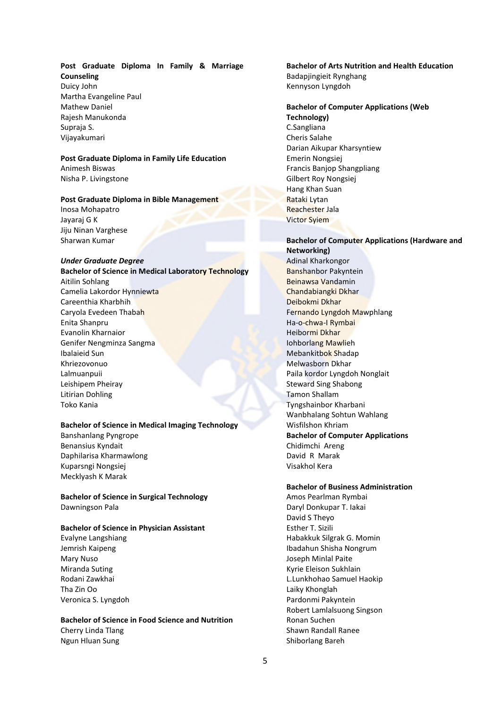# **Post Graduate Diploma In Family & Marriage Counseling** Duicy John Martha Evangeline Paul

Mathew Daniel Rajesh Manukonda Supraja S. Vijayakumari

# **Post Graduate Diploma in Family Life Education**

Animesh Biswas Nisha P. Livingstone

# **Post Graduate Diploma in Bible Management**

Inosa Mohapatro Jayaraj G K Jiju Ninan Varghese Sharwan Kumar

# *Under Graduate Degree*

**Bachelor of Science in Medical Laboratory Technology** Aitilin Sohlang Camelia Lakordor Hynniewta Careenthia Kharbhih Caryola Evedeen Thabah Enita Shanpru Evanolin Kharnaior Genifer Nengminza Sangma Ibalaieid Sun Khriezovonuo Lalmuanpuii Leishipem Pheiray Litirian Dohling Toko Kania

# **Bachelor of Science in Medical Imaging Technology**

Banshanlang Pyngrope Benansius Kyndait Daphilarisa Kharmawlong Kuparsngi Nongsiej Mecklyash K Marak

**Bachelor of Science in Surgical Technology** Dawningson Pala

# **Bachelor of Science in Physician Assistant**

Evalyne Langshiang Jemrish Kaipeng Mary Nuso Miranda Suting Rodani Zawkhai Tha Zin Oo Veronica S. Lyngdoh

# **Bachelor of Science in Food Science and Nutrition**  Cherry Linda Tlang Ngun Hluan Sung

# **Bachelor of Arts Nutrition and Health Education** Badapjingieit Rynghang Kennyson Lyngdoh

#### **Bachelor of Computer Applications (Web Technology)**

C.Sangliana Cheris Salahe Darian Aikupar Kharsyntiew Emerin Nongsiej Francis Banjop Shangpliang Gilbert Roy Nongsiej Hang Khan Suan Rataki Lytan Reachester Jala Victor Syiem

#### **Bachelor of Computer Applications (Hardware and Networking)**

Adinal Kharkongor Banshanbor Pakyntein Beinawsa Vandamin Chandabiangki Dkhar Deibokmi Dkhar Fernando Lyngdoh Mawphlang Ha-o-chwa-I Rymbai Heibormi Dkhar Iohborlang Mawlieh Mebankitbok Shadap Melwasborn Dkhar Paila kordor Lyngdoh Nonglait Steward Sing Shabong Tamon Shallam Tyngshainbor Kharbani Wanbhalang Sohtun Wahlang Wisfilshon Khriam **Bachelor of Computer Applications** Chidimchi Areng David R Marak Visakhol Kera

# **Bachelor of Business Administration**

Amos Pearlman Rymbai Daryl Donkupar T. Iakai David S Theyo Esther T. Sizili Habakkuk Silgrak G. Momin Ibadahun Shisha Nongrum Joseph Minlal Paite Kyrie Eleison Sukhlain L.Lunkhohao Samuel Haokip Laiky Khonglah Pardonmi Pakyntein Robert Lamlalsuong Singson Ronan Suchen Shawn Randall Ranee Shiborlang Bareh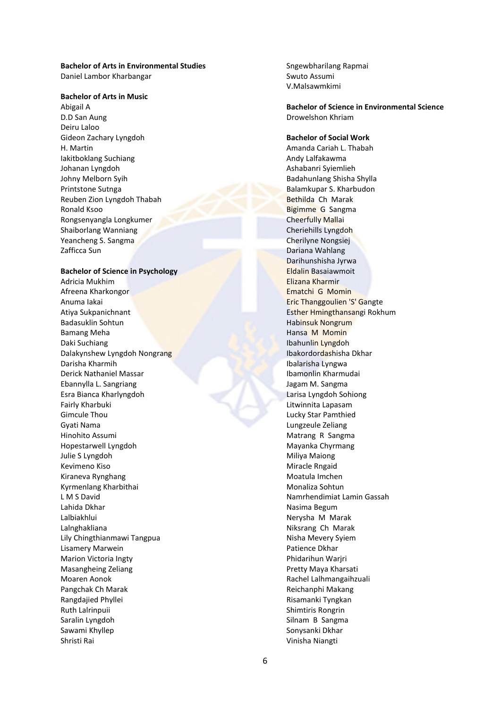# **Bachelor of Arts in Environmental Studies**

Daniel Lambor Kharbangar

# **Bachelor of Arts in Music**

Abigail A D.D San Aung Deiru Laloo Gideon Zachary Lyngdoh H. Martin Iakitboklang Suchiang Johanan Lyngdoh Johny Melborn Syih Printstone Sutnga Reuben Zion Lyngdoh Thabah Ronald Ksoo Rongsenyangla Longkumer Shaiborlang Wanniang Yeancheng S. Sangma Zafficca Sun

#### **Bachelor of Science in Psychology**

Adricia Mukhim Afreena Kharkongor Anuma Iakai Atiya Sukpanichnant Badasuklin Sohtun Bamang Meha Daki Suchiang Dalakynshew Lyngdoh Nongrang Darisha Kharmih Derick Nathaniel Massar Ebannylla L. Sangriang Esra Bianca Kharlyngdoh Fairly Kharbuki Gimcule Thou Gyati Nama Hinohito Assumi Hopestarwell Lyngdoh Julie S Lyngdoh Kevimeno Kiso Kiraneva Rynghang Kyrmenlang Kharbithai L M S David Lahida Dkhar Lalbiakhlui Lalnghakliana Lily Chingthianmawi Tangpua Lisamery Marwein Marion Victoria Ingty Masangheing Zeliang Moaren Aonok Pangchak Ch Marak Rangdajied Phyllei Ruth Lalrinpuii Saralin Lyngdoh Sawami Khyllep Shristi Rai

Sngewbharilang Rapmai Swuto Assumi V.Malsawmkimi

**Bachelor of Science in Environmental Science** Drowelshon Khriam

### **Bachelor of Social Work**

Amanda Cariah L. Thabah Andy Lalfakawma Ashabanri Syiemlieh Badahunlang Shisha Shylla Balamkupar S. Kharbudon Bethilda Ch Marak Bigimme G Sangma Cheerfully Mallai Cheriehills Lyngdoh Cherilyne Nongsiej Dariana Wahlang Darihunshisha Jyrwa Eldalin Basaiawmoit Elizana Kharmir Ematchi G Momin Eric Thanggoulien 'S' Gangte Esther Hmingthansangi Rokhum Habinsuk Nongrum Hansa M Momin Ibahunlin Lyngdoh Ibakordordashisha Dkhar Ibalarisha Lyngwa Ibamonlin Kharmudai Jagam M. Sangma Larisa Lyngdoh Sohiong Litwinnita Lapasam Lucky Star Pamthied Lungzeule Zeliang Matrang R Sangma Mayanka Chyrmang Miliya Maiong Miracle Rngaid Moatula Imchen Monaliza Sohtun Namrhendimiat Lamin Gassah Nasima Begum Nerysha M Marak Niksrang Ch Marak Nisha Mevery Syiem Patience Dkhar Phidarihun Warjri Pretty Maya Kharsati Rachel Lalhmangaihzuali Reichanphi Makang Risamanki Tyngkan Shimtiris Rongrin Silnam B Sangma Sonysanki Dkhar Vinisha Niangti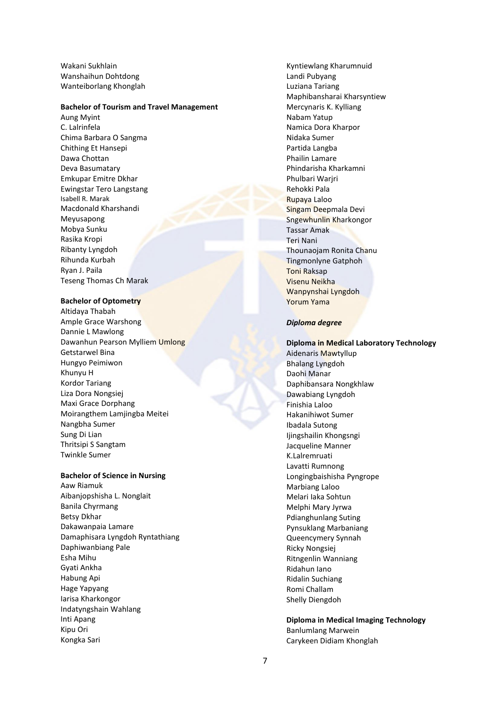Wakani Sukhlain Wanshaihun Dohtdong Wanteiborlang Khonglah

### **Bachelor of Tourism and Travel Management**

Aung Myint C. Lalrinfela Chima Barbara O Sangma Chithing Et Hansepi Dawa Chottan Deva Basumatary Emkupar Emitre Dkhar Ewingstar Tero Langstang Isabell R. Marak Macdonald Kharshandi Meyusapong Mobya Sunku Rasika Kropi Ribanty Lyngdoh Rihunda Kurbah Ryan J. Paila Teseng Thomas Ch Marak

### **Bachelor of Optometry**

Altidaya Thabah Ample Grace Warshong Dannie L Mawlong Dawanhun Pearson Mylliem Umlong Getstarwel Bina Hungyo Peimiwon Khunyu H Kordor Tariang Liza Dora Nongsiej Maxi Grace Dorphang Moirangthem Lamjingba Meitei Nangbha Sumer Sung Di Lian Thritsipi S Sangtam Twinkle Sumer

### **Bachelor of Science in Nursing**

Aaw Riamuk Aibanjopshisha L. Nonglait Banila Chyrmang Betsy Dkhar Dakawanpaia Lamare Damaphisara Lyngdoh Ryntathiang Daphiwanbiang Pale Esha Mihu Gyati Ankha Habung Api Hage Yapyang Iarisa Kharkongor Indatyngshain Wahlang Inti Apang Kipu Ori Kongka Sari

Kyntiewlang Kharumnuid Landi Pubyang Luziana Tariang Maphibansharai Kharsyntiew Mercynaris K. Kylliang Nabam Yatup Namica Dora Kharpor Nidaka Sumer Partida Langba Phailin Lamare Phindarisha Kharkamni Phulbari Warjri Rehokki Pala Rupaya Laloo Singam Deepmala Devi Sngewhunlin Kharkongor Tassar Amak Teri Nani Thounaojam Ronita Chanu Tingmonlyne Gatphoh Toni Raksap Visenu Neikha Wanpynshai Lyngdoh Yorum Yama

#### *Diploma degree*

#### **Diploma in Medical Laboratory Technology**

Aidenaris Mawtyllup Bhalang Lyngdoh Daohi Manar Daphibansara Nongkhlaw Dawabiang Lyngdoh Finishia Laloo Hakanihiwot Sumer Ibadala Sutong Ijingshailin Khongsngi Jacqueline Manner K.Lalremruati Lavatti Rumnong Longingbaishisha Pyngrope Marbiang Laloo Melari Iaka Sohtun Melphi Mary Jyrwa Pdianghunlang Suting Pynsuklang Marbaniang Queencymery Synnah Ricky Nongsiej Ritngenlin Wanniang Ridahun Iano Ridalin Suchiang Romi Challam Shelly Diengdoh

**Diploma in Medical Imaging Technology** Banlumlang Marwein Carykeen Didiam Khonglah